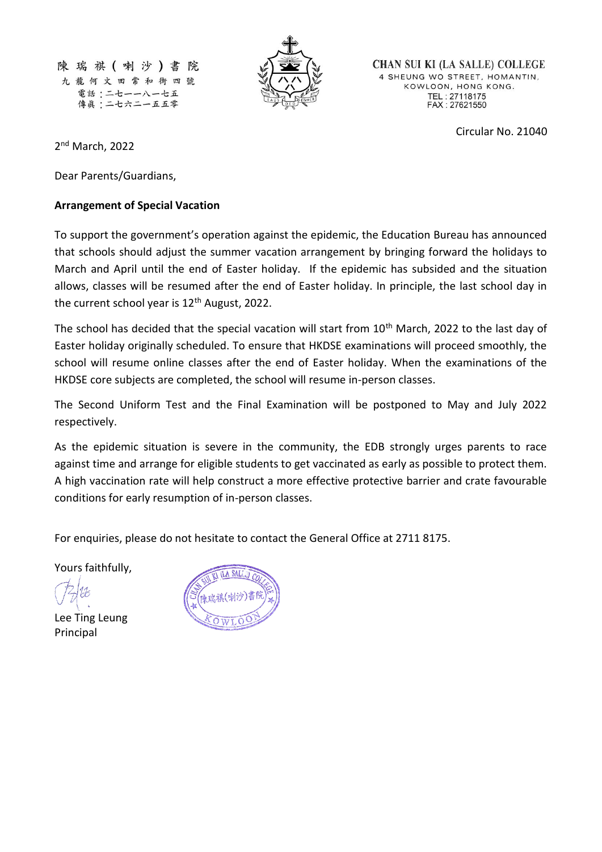陳瑞祺(喇沙)書 院 九龍何文田常和街四號 電話:二七一一八一七五 傳眞:二七六二一五五零



**CHAN SUI KI (LA SALLE) COLLEGE** 4 SHEUNG WO STREET, HOMANTIN, KOWLOON, HONG KONG. TEL: 27118175<br>FAX: 27621550

Circular No. 21040

2<sup>nd</sup> March, 2022

Dear Parents/Guardians,

## **Arrangement of Special Vacation**

To support the government's operation against the epidemic, the Education Bureau has announced that schools should adjust the summer vacation arrangement by bringing forward the holidays to March and April until the end of Easter holiday. If the epidemic has subsided and the situation allows, classes will be resumed after the end of Easter holiday. In principle, the last school day in the current school year is  $12<sup>th</sup>$  August, 2022.

The school has decided that the special vacation will start from 10<sup>th</sup> March, 2022 to the last day of Easter holiday originally scheduled. To ensure that HKDSE examinations will proceed smoothly, the school will resume online classes after the end of Easter holiday. When the examinations of the HKDSE core subjects are completed, the school will resume in-person classes.

The Second Uniform Test and the Final Examination will be postponed to May and July 2022 respectively.

As the epidemic situation is severe in the community, the EDB strongly urges parents to race against time and arrange for eligible students to get vaccinated as early as possible to protect them. A high vaccination rate will help construct a more effective protective barrier and crate favourable conditions for early resumption of in-person classes.

For enquiries, please do not hesitate to contact the General Office at 2711 8175.

Yours faithfully,

Lee Ting Leung Principal